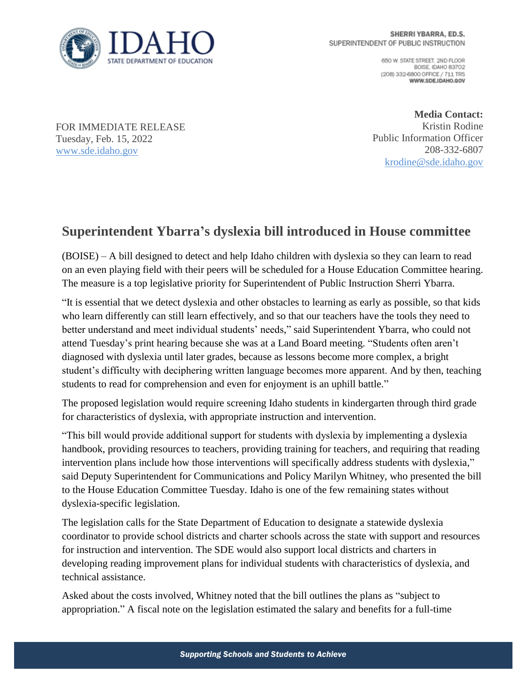

650 W. STATE STREET, 2ND FLOOR BOISE IDAHO 83702 (208) 332-6800 OFFICE / 711 TRS WWW.SDE.IDAHO.GOV

FOR IMMEDIATE RELEASE Tuesday, Feb. 15, 2022 [www.sde.idaho.gov](http://www.sde.idaho.gov/)

**Media Contact:** Kristin Rodine Public Information Officer 208-332-6807 [krodine@sde.idaho.gov](mailto:krodine@sde.idaho.gov)

## **Superintendent Ybarra's dyslexia bill introduced in House committee**

(BOISE) – A bill designed to detect and help Idaho children with dyslexia so they can learn to read on an even playing field with their peers will be scheduled for a House Education Committee hearing. The measure is a top legislative priority for Superintendent of Public Instruction Sherri Ybarra.

"It is essential that we detect dyslexia and other obstacles to learning as early as possible, so that kids who learn differently can still learn effectively, and so that our teachers have the tools they need to better understand and meet individual students' needs," said Superintendent Ybarra, who could not attend Tuesday's print hearing because she was at a Land Board meeting. "Students often aren't diagnosed with dyslexia until later grades, because as lessons become more complex, a bright student's difficulty with deciphering written language becomes more apparent. And by then, teaching students to read for comprehension and even for enjoyment is an uphill battle."

The proposed legislation would require screening Idaho students in kindergarten through third grade for characteristics of dyslexia, with appropriate instruction and intervention.

"This bill would provide additional support for students with dyslexia by implementing a dyslexia handbook, providing resources to teachers, providing training for teachers, and requiring that reading intervention plans include how those interventions will specifically address students with dyslexia," said Deputy Superintendent for Communications and Policy Marilyn Whitney, who presented the bill to the House Education Committee Tuesday. Idaho is one of the few remaining states without dyslexia-specific legislation.

The legislation calls for the State Department of Education to designate a statewide dyslexia coordinator to provide school districts and charter schools across the state with support and resources for instruction and intervention. The SDE would also support local districts and charters in developing reading improvement plans for individual students with characteristics of dyslexia, and technical assistance.

Asked about the costs involved, Whitney noted that the bill outlines the plans as "subject to appropriation." A fiscal note on the legislation estimated the salary and benefits for a full-time